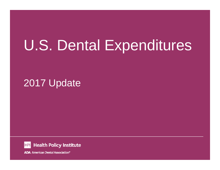# U.S. Dental Expenditures

# 2017 Update

**Health Policy Institute HPI** 

**ADA** American Dental Association®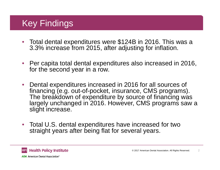# Key Findings

- Total dental expenditures were \$124B in 2016. This was a 3.3% increase from 2015, after adjusting for inflation.
- Per capita total dental expenditures also increased in 2016, for the second year in a row.
- Dental expenditures increased in 2016 for all sources of financing (e.g. out-of-pocket, insurance, CMS programs). The breakdown of expenditure by source of financing was largely unchanged in 2016. However, CMS programs saw a slight increase.
- Total U.S. dental expenditures have increased for two straight years after being flat for several years.

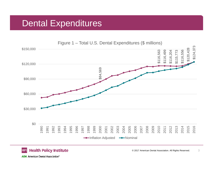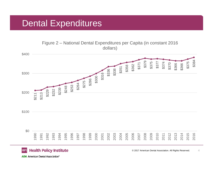Figure 2 – National Dental Expenditures per Capita (in constant 2016 dollars)



#### **Health Policy Institute HPI**

**ADA American Dental Association®**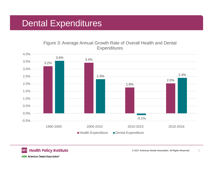### Figure 3: Average Annual Growth Rate of Overall Health and Dental **Expenditures**





© 2017 American Dental Association. All Rights Reserved. 5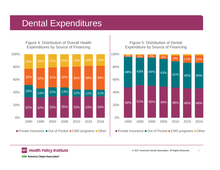Figure 4: Distribution of Overall Health Expenditures by Source of Financing



### Figure 5: Distribution of Dental Expenditure by Source of Financing



### **Health Policy Institute HPI**

© 2017 American Dental Association. All Rights Reserved. 6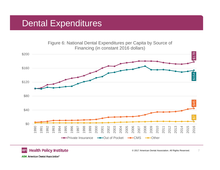

### © 2017 American Dental Association. All Rights Reserved. 7

**ADA** American Dental Association<sup>®</sup>

**HPI** 

**Health Policy Institute**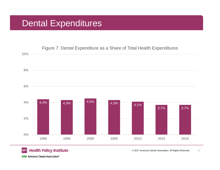

### **Health Policy Institute HPI**

© 2017 American Dental Association. All Rights Reserved. 8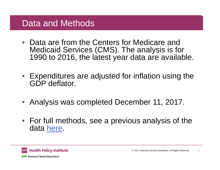### Data and Methods

- Data are from the Centers for Medicare and Medicaid Services (CMS). The analysis is for 1990 to 2016, the latest year data are available.
- Expenditures are adjusted for inflation using the GDP deflator.
- Analysis was completed December 11, 2017.
- For full methods, see a previous analysis of the data [here.](http://www.ada.org/~/media/ADA/Science%20and%20Research/HPI/Files/HPIBrief_1216_2.pdf?la=en)